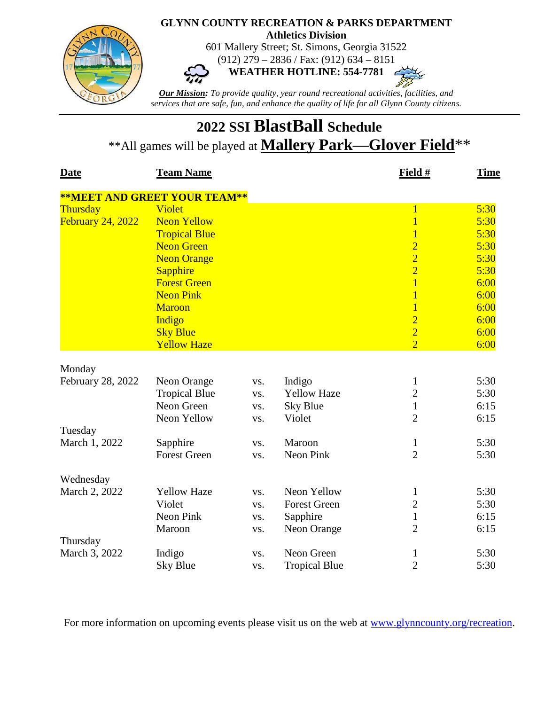

## **2022 SSI BlastBall Schedule** \*\*All games will be played at **Mallery Park—Glover Field**\*\*

| <b>Date</b>                 | <b>Team Name</b>                    |            |                      | Field #        | <b>Time</b> |
|-----------------------------|-------------------------------------|------------|----------------------|----------------|-------------|
|                             | <b>**MEET AND GREET YOUR TEAM**</b> |            |                      |                |             |
| Thursday                    | <b>Violet</b>                       |            |                      | $\mathbf{1}$   | 5:30        |
| <b>February 24, 2022</b>    | <b>Neon Yellow</b>                  |            |                      | $\overline{1}$ | 5:30        |
|                             | <b>Tropical Blue</b>                |            |                      | $\overline{1}$ | 5:30        |
|                             | <b>Neon Green</b>                   |            |                      | $\overline{2}$ | 5:30        |
|                             | <b>Neon Orange</b>                  |            |                      | $\overline{2}$ | 5:30        |
|                             | <b>Sapphire</b>                     |            |                      | $\overline{2}$ | 5:30        |
|                             | <b>Forest Green</b>                 |            |                      | $\overline{1}$ | 6:00        |
|                             | <b>Neon Pink</b>                    |            |                      | $\overline{1}$ | 6:00        |
|                             | <b>Maroon</b>                       |            |                      | $\overline{1}$ | 6:00        |
|                             | Indigo                              |            |                      | $\overline{2}$ | 6:00        |
|                             | <b>Sky Blue</b>                     |            |                      | $\overline{2}$ | 6:00        |
|                             | <b>Yellow Haze</b>                  |            |                      | $\overline{2}$ | 6:00        |
|                             |                                     |            |                      |                |             |
| Monday<br>February 28, 2022 | Neon Orange                         |            | Indigo               | $\mathbf{1}$   | 5:30        |
|                             | <b>Tropical Blue</b>                | VS.        | <b>Yellow Haze</b>   | $\overline{2}$ | 5:30        |
|                             | Neon Green                          | VS.<br>VS. | <b>Sky Blue</b>      | $\mathbf{1}$   | 6:15        |
|                             | Neon Yellow                         | VS.        | Violet               | $\overline{2}$ | 6:15        |
| Tuesday                     |                                     |            |                      |                |             |
| March 1, 2022               | Sapphire                            | VS.        | Maroon               | $\mathbf{1}$   | 5:30        |
|                             | <b>Forest Green</b>                 | VS.        | Neon Pink            | $\overline{2}$ | 5:30        |
|                             |                                     |            |                      |                |             |
| Wednesday                   |                                     |            |                      |                |             |
| March 2, 2022               | <b>Yellow Haze</b>                  | VS.        | Neon Yellow          | $\mathbf{1}$   | 5:30        |
|                             | Violet                              | VS.        | <b>Forest Green</b>  | $\overline{c}$ | 5:30        |
|                             | Neon Pink                           | VS.        | Sapphire             | $\mathbf{1}$   | 6:15        |
|                             | Maroon                              | VS.        | Neon Orange          | $\overline{2}$ | 6:15        |
| Thursday                    |                                     |            |                      |                |             |
| March 3, 2022               | Indigo                              | VS.        | Neon Green           | $\mathbf{1}$   | 5:30        |
|                             | Sky Blue                            | VS.        | <b>Tropical Blue</b> | $\overline{2}$ | 5:30        |

For more information on upcoming events please visit us on the web at [www.glynncounty.org/recreation.](http://www.glynncounty.org/recreation)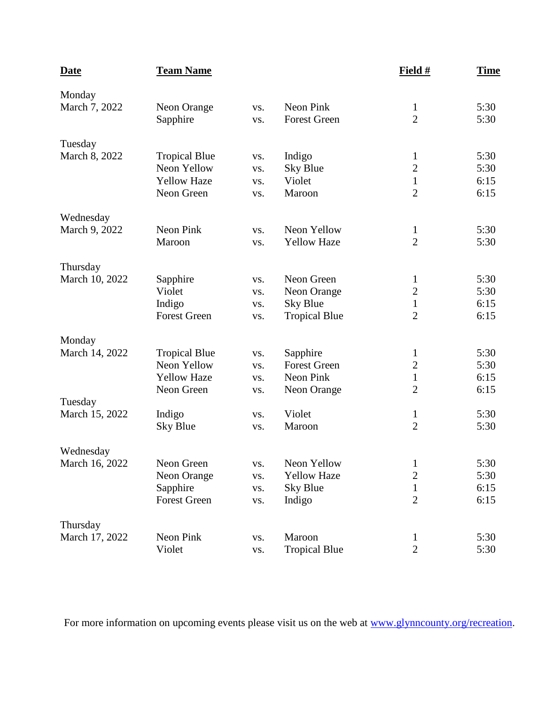| <b>Date</b>    | <b>Team Name</b>     |     |                      | Field #          | <b>Time</b> |
|----------------|----------------------|-----|----------------------|------------------|-------------|
| Monday         |                      |     |                      |                  |             |
| March 7, 2022  | Neon Orange          | VS. | Neon Pink            | $\mathbf{1}$     | 5:30        |
|                | Sapphire             | VS. | <b>Forest Green</b>  | $\overline{2}$   | 5:30        |
| Tuesday        |                      |     |                      |                  |             |
| March 8, 2022  | <b>Tropical Blue</b> | VS. | Indigo               | $\mathbf{1}$     | 5:30        |
|                | Neon Yellow          | VS. | <b>Sky Blue</b>      | $\sqrt{2}$       | 5:30        |
|                | <b>Yellow Haze</b>   | VS. | Violet               | $\mathbf{1}$     | 6:15        |
|                | Neon Green           | VS. | Maroon               | $\overline{2}$   | 6:15        |
| Wednesday      |                      |     |                      |                  |             |
| March 9, 2022  | Neon Pink            | VS. | Neon Yellow          | $\mathbf{1}$     | 5:30        |
|                | Maroon               | VS. | <b>Yellow Haze</b>   | $\overline{2}$   | 5:30        |
| Thursday       |                      |     |                      |                  |             |
| March 10, 2022 | Sapphire             | VS. | Neon Green           | $\mathbf{1}$     | 5:30        |
|                | Violet               | VS. | Neon Orange          | $\boldsymbol{2}$ | 5:30        |
|                | Indigo               | VS. | <b>Sky Blue</b>      | $\mathbf{1}$     | 6:15        |
|                | <b>Forest Green</b>  | VS. | <b>Tropical Blue</b> | $\overline{2}$   | 6:15        |
| Monday         |                      |     |                      |                  |             |
| March 14, 2022 | <b>Tropical Blue</b> | VS. | Sapphire             | $\mathbf{1}$     | 5:30        |
|                | Neon Yellow          | VS. | <b>Forest Green</b>  | $\mathbf{2}$     | 5:30        |
|                | <b>Yellow Haze</b>   | VS. | Neon Pink            | $\mathbf{1}$     | 6:15        |
|                | Neon Green           | VS. | Neon Orange          | $\overline{2}$   | 6:15        |
| Tuesday        |                      |     |                      |                  |             |
| March 15, 2022 | Indigo               | VS. | Violet               | $\mathbf{1}$     | 5:30        |
|                | <b>Sky Blue</b>      | VS. | Maroon               | $\overline{2}$   | 5:30        |
| Wednesday      |                      |     |                      |                  |             |
| March 16, 2022 | Neon Green           | VS. | Neon Yellow          | $\mathbf{1}$     | 5:30        |
|                | Neon Orange          | VS. | <b>Yellow Haze</b>   | $\overline{c}$   | 5:30        |
|                | Sapphire             | VS. | <b>Sky Blue</b>      | $\mathbf{1}$     | 6:15        |
|                | <b>Forest Green</b>  | VS. | Indigo               | $\overline{2}$   | 6:15        |
| Thursday       |                      |     |                      |                  |             |
| March 17, 2022 | Neon Pink            | VS. | Maroon               | $\mathbf{1}$     | 5:30        |
|                | Violet               | VS. | <b>Tropical Blue</b> | $\overline{2}$   | 5:30        |

For more information on upcoming events please visit us on the web at [www.glynncounty.org/recreation.](http://www.glynncounty.org/recreation)